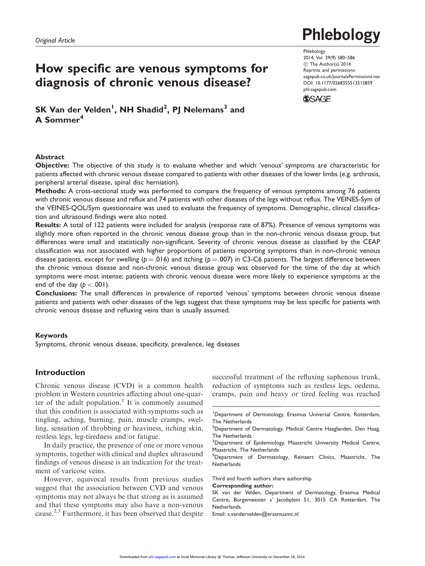# How specific are venous symptoms for diagnosis of chronic venous disease?

 ${\sf SK}$  Van der Velden $^{\sf l}$ , NH Shadid $^{\sf 2}$ , PJ Nelemans $^{\sf 3}$  and A Sommer<sup>4</sup>

## Abstract

Objective: The objective of this study is to evaluate whether and which 'venous' symptoms are characteristic for patients affected with chronic venous disease compared to patients with other diseases of the lower limbs (e.g. arthrosis, peripheral arterial disease, spinal disc herniation).

Methods: A cross-sectional study was performed to compare the frequency of venous symptoms among 76 patients with chronic venous disease and reflux and 74 patients with other diseases of the legs without reflux. The VEINES-Sym of the VEINES-QOL/Sym questionnaire was used to evaluate the frequency of symptoms. Demographic, clinical classification and ultrasound findings were also noted.

Results: A total of 122 patients were included for analysis (response rate of 87%). Presence of venous symptoms was slightly more often reported in the chronic venous disease group than in the non-chronic venous disease group, but differences were small and statistically non-significant. Severity of chronic venous disease as classified by the CEAP classification was not associated with higher proportions of patients reporting symptoms than in non-chronic venous disease patients, except for swelling ( $p = .016$ ) and itching ( $p = .007$ ) in C3-C6 patients. The largest difference between the chronic venous disease and non-chronic venous disease group was observed for the time of the day at which symptoms were most intense; patients with chronic venous disease were more likely to experience symptoms at the end of the day  $(p < .001)$ .

Conclusions: The small differences in prevalence of reported 'venous' symptoms between chronic venous disease patients and patients with other diseases of the legs suggest that these symptoms may be less specific for patients with chronic venous disease and refluxing veins than is usually assumed.

#### Keywords

Symptoms, chronic venous disease, specificity, prevalence, leg diseases

# Introduction

Chronic venous disease (CVD) is a common health problem in Western countries affecting about one-quarter of the adult population.<sup>1</sup> It is commonly assumed that this condition is associated with symptoms such as tingling, aching, burning, pain, muscle cramps, swelling, sensation of throbbing or heaviness, itching skin, restless legs, leg-tiredness and/or fatigue.

In daily practice, the presence of one or more venous symptoms, together with clinical and duplex ultrasound findings of venous disease is an indication for the treatment of varicose veins.

However, equivocal results from previous studies suggest that the association between CVD and venous symptoms may not always be that strong as is assumed and that these symptoms may also have a non-venous cause.2,3 Furthermore, it has been observed that despite

successful treatment of the refluxing saphenous trunk, reduction of symptoms such as restless legs, oedema, cramps, pain and heavy or tired feeling was reached

Third and fourth authors share authorship.

Corresponding author:

SK van der Velden, Department of Dermatology, Erasmus Medical Centre, Burgemeester s' Jacobplein 51, 3015 CA Rotterdam, The Netherlands.

Email: s.vandervelden@erasmusmc.nl

Phlebology 2014, Vol. 29(9) 580–586 C The Author(s) 2014 Reprints and permissions: sagepub.co.uk/journalsPermissions.nav DOI: 10.1177/0268355513515859 phl.sagepub.com

**SSAGE** 



<sup>&</sup>lt;sup>1</sup>Department of Dermatology, Erasmus Universal Centre, Rotterdam, The Netherlands

 $^{2}$ Department of Dermatology, Medical Centre Haaglanden, Den Haag, The Netherlands

<sup>&</sup>lt;sup>3</sup>Department of Epidemiology, Maastricht University Medical Centre, Maastricht, The Netherlands

<sup>&</sup>lt;sup>4</sup>Department of Dermatology, Reinaert Clinics, Maastricht, The **Netherlands**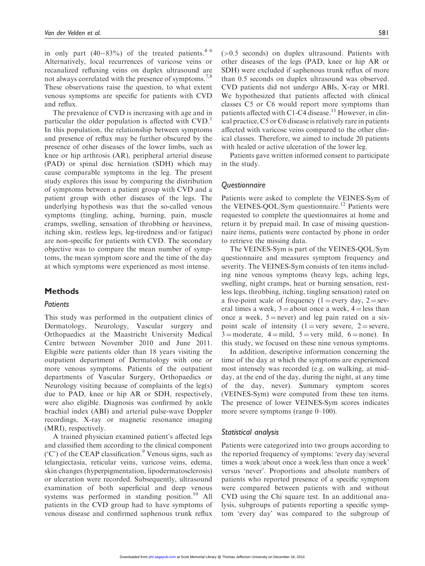in only part  $(40-83\%)$  of the treated patients.<sup>4-6</sup> Alternatively, local recurrences of varicose veins or recanalized refluxing veins on duplex ultrasound are not always correlated with the presence of symptoms.<sup>7,8</sup> These observations raise the question, to what extent venous symptoms are specific for patients with CVD and reflux.

The prevalence of CVD is increasing with age and in particular the older population is affected with CVD.<sup>1</sup> In this population, the relationship between symptoms and presence of reflux may be further obscured by the presence of other diseases of the lower limbs, such as knee or hip arthrosis (AR), peripheral arterial disease (PAD) or spinal disc herniation (SDH) which may cause comparable symptoms in the leg. The present study explores this issue by comparing the distribution of symptoms between a patient group with CVD and a patient group with other diseases of the legs. The underlying hypothesis was that the so-called venous symptoms (tingling, aching, burning, pain, muscle cramps, swelling, sensation of throbbing or heaviness, itching skin, restless legs, leg-tiredness and/or fatigue) are non-specific for patients with CVD. The secondary objective was to compare the mean number of symptoms, the mean symptom score and the time of the day at which symptoms were experienced as most intense.

### Methods

### **Patients**

This study was performed in the outpatient clinics of Dermatology, Neurology, Vascular surgery and Orthopaedics at the Maastricht University Medical Centre between November 2010 and June 2011. Eligible were patients older than 18 years visiting the outpatient department of Dermatology with one or more venous symptoms. Patients of the outpatient departments of Vascular Surgery, Orthopaedics or Neurology visiting because of complaints of the leg(s) due to PAD, knee or hip AR or SDH, respectively, were also eligible. Diagnosis was confirmed by ankle brachial index (ABI) and arterial pulse-wave Doppler recordings, X-ray or magnetic resonance imaging (MRI), respectively.

A trained physician examined patient's affected legs and classified them according to the clinical component ( $^{\circ}$ C') of the CEAP classification.<sup>9</sup> Venous signs, such as telangiectasia, reticular veins, varicose veins, edema, skin changes (hyperpigmentation, lipodermatosclerosis) or ulceration were recorded. Subsequently, ultrasound examination of both superficial and deep venous systems was performed in standing position.<sup>10</sup> All patients in the CVD group had to have symptoms of venous disease and confirmed saphenous trunk reflux (>0.5 seconds) on duplex ultrasound. Patients with other diseases of the legs (PAD, knee or hip AR or SDH) were excluded if saphenous trunk reflux of more than 0.5 seconds on duplex ultrasound was observed. CVD patients did not undergo ABIs, X-ray or MRI. We hypothesized that patients affected with clinical classes C5 or C6 would report more symptoms than patients affected with C1-C4 disease.<sup>11</sup> However, in clinical practice, C5 or C6 disease is relatively rare in patients affected with varicose veins compared to the other clinical classes. Therefore, we aimed to include 20 patients with healed or active ulceration of the lower leg.

Patients gave written informed consent to participate in the study.

### **Questionnaire**

Patients were asked to complete the VEINES-Sym of the VEINES-QOL/Sym questionnaire.<sup>12</sup> Patients were requested to complete the questionnaires at home and return it by prepaid mail. In case of missing questionnaire items, patients were contacted by phone in order to retrieve the missing data.

The VEINES-Sym is part of the VEINES-QOL/Sym questionnaire and measures symptom frequency and severity. The VEINES-Sym consists of ten items including nine venous symptoms (heavy legs, aching legs, swelling, night cramps, heat or burning sensation, restless legs, throbbing, itching, tingling sensation) rated on a five-point scale of frequency (1 = every day,  $2 =$  several times a week,  $3 =$ about once a week,  $4 =$ less than once a week,  $5 =$  never) and leg pain rated on a sixpoint scale of intensity  $(1 = \text{very severe}, 2 = \text{severe},$  $3 =$ moderate,  $4 =$ mild,  $5 =$ very mild,  $6 =$ none). In this study, we focused on these nine venous symptoms.

In addition, descriptive information concerning the time of the day at which the symptoms are experienced most intensely was recorded (e.g. on walking, at midday, at the end of the day, during the night, at any time of the day, never). Summary symptom scores (VEINES-Sym) were computed from these ten items. The presence of lower VEINES-Sym scores indicates more severe symptoms (range 0–100).

#### Statistical analysis

Patients were categorized into two groups according to the reported frequency of symptoms: 'every day/several times a week/about once a week/less than once a week' versus 'never'. Proportions and absolute numbers of patients who reported presence of a specific symptom were compared between patients with and without CVD using the Chi square test. In an additional analysis, subgroups of patients reporting a specific symptom 'every day' was compared to the subgroup of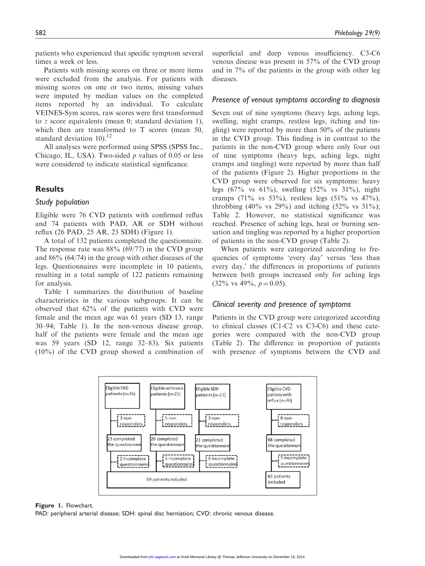patients who experienced that specific symptom several times a week or less.

Patients with missing scores on three or more items were excluded from the analysis. For patients with missing scores on one or two items, missing values were imputed by median values on the completed items reported by an individual. To calculate VEINES-Sym scores, raw scores were first transformed to z score equivalents (mean 0; standard deviation 1), which then are transformed to T scores (mean 50, standard deviation  $10^{-12}$ 

All analyses were performed using SPSS (SPSS Inc., Chicago, IL, USA). Two-sided  $p$  values of 0.05 or less were considered to indicate statistical significance.

## **Results**

#### Study population

Eligible were 76 CVD patients with confirmed reflux and 74 patients with PAD, AR or SDH without reflux (26 PAD, 25 AR, 23 SDH) (Figure 1).

A total of 132 patients completed the questionnaire. The response rate was  $88\%$  (69/77) in the CVD group and 86% (64/74) in the group with other diseases of the legs. Questionnaires were incomplete in 10 patients, resulting in a total sample of 122 patients remaining for analysis.

Table 1 summarizes the distribution of baseline characteristics in the various subgroups. It can be observed that 62% of the patients with CVD were female and the mean age was 61 years (SD 13, range 30–94; Table 1). In the non-venous disease group, half of the patients were female and the mean age was 59 years (SD 12, range 32–83). Six patients (10%) of the CVD group showed a combination of superficial and deep venous insufficiency. C3-C6 venous disease was present in 57% of the CVD group and in 7% of the patients in the group with other leg diseases.

#### Presence of venous symptoms according to diagnosis

Seven out of nine symptoms (heavy legs, aching legs, swelling, night cramps, restless legs, itching and tingling) were reported by more than 50% of the patients in the CVD group. This finding is in contrast to the patients in the non-CVD group where only four out of nine symptoms (heavy legs, aching legs, night cramps and tingling) were reported by more than half of the patients (Figure 2). Higher proportions in the CVD group were observed for six symptoms: heavy legs  $(67\% \text{ vs } 61\%)$ , swelling  $(52\% \text{ vs } 31\%)$ , night cramps (71% vs 53%), restless legs (51% vs 47%), throbbing  $(40\% \text{ vs } 29\%)$  and itching  $(52\% \text{ vs } 31\%)$ ; Table 2. However, no statistical significance was reached. Presence of aching legs, heat or burning sensation and tingling was reported by a higher proportion of patients in the non-CVD group (Table 2).

When patients were categorized according to frequencies of symptoms 'every day' versus 'less than every day,' the differences in proportions of patients between both groups increased only for aching legs  $(32\% \text{ vs } 49\%, p=0.05).$ 

#### Clinical severity and presence of symptoms

Patients in the CVD group were categorized according to clinical classes (C1-C2 vs C3-C6) and these categories were compared with the non-CVD group (Table 2). The difference in proportion of patients with presence of symptoms between the CVD and



#### Figure 1. Flowchart.

PAD: peripheral arterial disease; SDH: spinal disc herniation; CVD: chronic venous disease.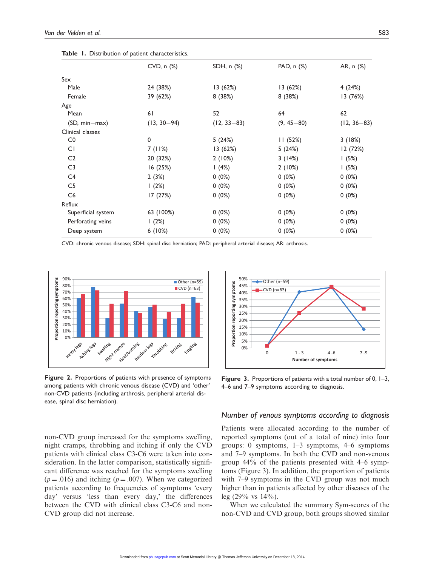|                    | CVD, n (%)      | SDH, n (%)      | PAD, n (%)     | AR, n (%)       |
|--------------------|-----------------|-----------------|----------------|-----------------|
| Sex                |                 |                 |                |                 |
| Male               | 24 (38%)        | 13 (62%)        | 13(62%)        | 4(24%)          |
| Female             | 39 (62%)        | 8(38%)          | 8(38%)         | 13 (76%)        |
| Age                |                 |                 |                |                 |
| Mean               | 61              | 52              | 64             | 62              |
| (SD, min-max)      | $(13, 30 - 94)$ | $(12, 33 - 83)$ | $(9, 45 - 80)$ | $(12, 36 - 83)$ |
| Clinical classes   |                 |                 |                |                 |
| CO                 | $\mathbf 0$     | 5(24%)          | 11(52%)        | 3(18%)          |
| CI                 | 7 (11%)         | 13 (62%)        | 5(24%)         | 12 (72%)        |
| C <sub>2</sub>     | 20 (32%)        | 2(10%)          | 3(14%)         | 1(5%)           |
| C <sub>3</sub>     | 16(25%)         | 1(4%)           | 2(10%)         | 1(5%)           |
| C4                 | 2(3%)           | $0(0\%)$        | $0(0\%)$       | $0(0\%)$        |
| C <sub>5</sub>     | 1(2%)           | $0(0\%)$        | $0(0\%)$       | 0(0%)           |
| C6                 | 17 (27%)        | $0(0\%)$        | $0(0\%)$       | 0(0%)           |
| Reflux             |                 |                 |                |                 |
| Superficial system | 63 (100%)       | $0(0\%)$        | $0(0\%)$       | $0(0\%)$        |
| Perforating veins  | 1(2%)           | $0(0\%)$        | $0(0\%)$       | 0(0%)           |
| Deep system        | 6(10%)          | $0(0\%)$        | $0(0\%)$       | 0(0%)           |

Table 1. Distribution of patient characteristics.

CVD: chronic venous disease; SDH: spinal disc herniation; PAD: peripheral arterial disease; AR: arthrosis.



Figure 2. Proportions of patients with presence of symptoms among patients with chronic venous disease (CVD) and 'other' non-CVD patients (including arthrosis, peripheral arterial disease, spinal disc herniation).

non-CVD group increased for the symptoms swelling, night cramps, throbbing and itching if only the CVD patients with clinical class C3-C6 were taken into consideration. In the latter comparison, statistically significant difference was reached for the symptoms swelling  $(p = .016)$  and itching  $(p = .007)$ . When we categorized patients according to frequencies of symptoms 'every day' versus 'less than every day,' the differences between the CVD with clinical class C3-C6 and non-CVD group did not increase.



Figure 3. Proportions of patients with a total number of 0, 1–3, 4–6 and 7–9 symptoms according to diagnosis.

#### Number of venous symptoms according to diagnosis

Patients were allocated according to the number of reported symptoms (out of a total of nine) into four groups: 0 symptoms, 1–3 symptoms, 4–6 symptoms and 7–9 symptoms. In both the CVD and non-venous group 44% of the patients presented with 4–6 symptoms (Figure 3). In addition, the proportion of patients with 7–9 symptoms in the CVD group was not much higher than in patients affected by other diseases of the leg (29% vs 14%).

When we calculated the summary Sym-scores of the non-CVD and CVD group, both groups showed similar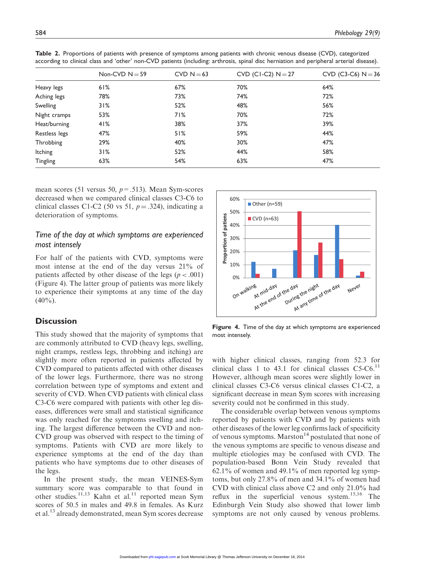|                | Non-CVD $N = 59$ | $CVD N = 63$ | CVD (CI-C2) $N = 27$ | CVD (C3-C6) $N = 36$ |
|----------------|------------------|--------------|----------------------|----------------------|
| Heavy legs     | 61%              | 67%          | 70%                  | 64%                  |
| Aching legs    | 78%              | 73%          | 74%                  | 72%                  |
| Swelling       | 31%              | 52%          | 48%                  | 56%                  |
| Night cramps   | 53%              | 71%          | 70%                  | 72%                  |
| Heat/burning   | 41%              | 38%          | 37%                  | 39%                  |
| Restless legs  | 47%              | 51%          | 59%                  | 44%                  |
| Throbbing      | 29%              | 40%          | 30%                  | 47%                  |
| <b>Itching</b> | 31%              | 52%          | 44%                  | 58%                  |
| Tingling       | 63%              | 54%          | 63%                  | 47%                  |

Table 2. Proportions of patients with presence of symptoms among patients with chronic venous disease (CVD), categorized according to clinical class and 'other' non-CVD patients (including: arthrosis, spinal disc herniation and peripheral arterial disease).

mean scores (51 versus 50,  $p = .513$ ). Mean Sym-scores decreased when we compared clinical classes C3-C6 to clinical classes C1-C2 (50 vs 51,  $p = .324$ ), indicating a deterioration of symptoms.

## Time of the day at which symptoms are experienced most intensely

For half of the patients with CVD, symptoms were most intense at the end of the day versus 21% of patients affected by other disease of the legs ( $p < .001$ ) (Figure 4). The latter group of patients was more likely to experience their symptoms at any time of the day  $(40\%)$ .

## **Discussion**

This study showed that the majority of symptoms that are commonly attributed to CVD (heavy legs, swelling, night cramps, restless legs, throbbing and itching) are slightly more often reported in patients affected by CVD compared to patients affected with other diseases of the lower legs. Furthermore, there was no strong correlation between type of symptoms and extent and severity of CVD. When CVD patients with clinical class C3-C6 were compared with patients with other leg diseases, differences were small and statistical significance was only reached for the symptoms swelling and itching. The largest difference between the CVD and non-CVD group was observed with respect to the timing of symptoms. Patients with CVD are more likely to experience symptoms at the end of the day than patients who have symptoms due to other diseases of the legs.

In the present study, the mean VEINES-Sym summary score was comparable to that found in other studies.<sup>11,13</sup> Kahn et al.<sup>11</sup> reported mean Sym scores of 50.5 in males and 49.8 in females. As Kurz et al.<sup>13</sup> already demonstrated, mean Sym scores decrease



Figure 4. Time of the day at which symptoms are experienced most intensely.

with higher clinical classes, ranging from 52.3 for clinical class 1 to 43.1 for clinical classes  $C$ 5- $C$ 6.<sup>11</sup> However, although mean scores were slightly lower in clinical classes C3-C6 versus clinical classes C1-C2, a significant decrease in mean Sym scores with increasing severity could not be confirmed in this study.

The considerable overlap between venous symptoms reported by patients with CVD and by patients with other diseases of the lower leg confirms lack of specificity of venous symptoms. Marston<sup>14</sup> postulated that none of the venous symptoms are specific to venous disease and multiple etiologies may be confused with CVD. The population-based Bonn Vein Study revealed that  $62.1\%$  of women and 49.1% of men reported leg symptoms, but only 27.8% of men and 34.1% of women had CVD with clinical class above C2 and only 21.0% had reflux in the superficial venous system.<sup>15,16</sup> The Edinburgh Vein Study also showed that lower limb symptoms are not only caused by venous problems.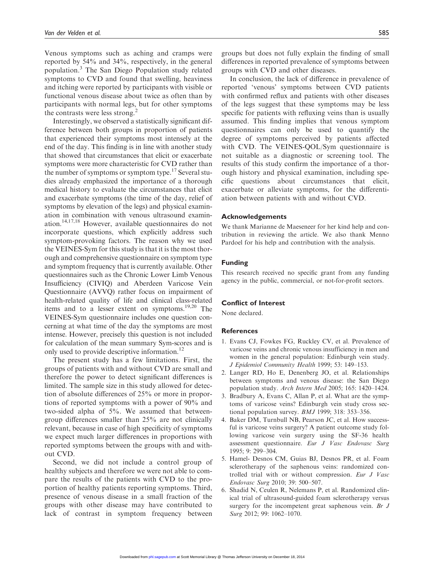Venous symptoms such as aching and cramps were reported by 54% and 34%, respectively, in the general population.<sup>3</sup> The San Diego Population study related symptoms to CVD and found that swelling, heaviness and itching were reported by participants with visible or functional venous disease about twice as often than by participants with normal legs, but for other symptoms the contrasts were less strong.<sup>2</sup>

Interestingly, we observed a statistically significant difference between both groups in proportion of patients that experienced their symptoms most intensely at the end of the day. This finding is in line with another study that showed that circumstances that elicit or exacerbate symptoms were more characteristic for CVD rather than the number of symptoms or symptom type. $17$  Several studies already emphasized the importance of a thorough medical history to evaluate the circumstances that elicit and exacerbate symptoms (the time of the day, relief of symptoms by elevation of the legs) and physical examination in combination with venous ultrasound examination.14,17,18 However, available questionnaires do not incorporate questions, which explicitly address such symptom-provoking factors. The reason why we used the VEINES-Sym for this study is that it is the most thorough and comprehensive questionnaire on symptom type and symptom frequency that is currently available. Other questionnaires such as the Chronic Lower Limb Venous Insufficiency (CIVIQ) and Aberdeen Varicose Vein Questionnaire (AVVQ) rather focus on impairment of health-related quality of life and clinical class-related items and to a lesser extent on symptoms.<sup>19,20</sup> The VEINES-Sym questionnaire includes one question concerning at what time of the day the symptoms are most intense. However, precisely this question is not included for calculation of the mean summary Sym-scores and is only used to provide descriptive information.<sup>12</sup>

The present study has a few limitations. First, the groups of patients with and without CVD are small and therefore the power to detect significant differences is limited. The sample size in this study allowed for detection of absolute differences of 25% or more in proportions of reported symptoms with a power of 90% and two-sided alpha of 5%. We assumed that betweengroup differences smaller than 25% are not clinically relevant, because in case of high specificity of symptoms we expect much larger differences in proportions with reported symptoms between the groups with and without CVD.

Second, we did not include a control group of healthy subjects and therefore we were not able to compare the results of the patients with CVD to the proportion of healthy patients reporting symptoms. Third, presence of venous disease in a small fraction of the groups with other disease may have contributed to lack of contrast in symptom frequency between groups but does not fully explain the finding of small differences in reported prevalence of symptoms between groups with CVD and other diseases.

In conclusion, the lack of difference in prevalence of reported 'venous' symptoms between CVD patients with confirmed reflux and patients with other diseases of the legs suggest that these symptoms may be less specific for patients with refluxing veins than is usually assumed. This finding implies that venous symptom questionnaires can only be used to quantify the degree of symptoms perceived by patients affected with CVD. The VEINES-QOL/Sym questionnaire is not suitable as a diagnostic or screening tool. The results of this study confirm the importance of a thorough history and physical examination, including specific questions about circumstances that elicit, exacerbate or alleviate symptoms, for the differentiation between patients with and without CVD.

#### Acknowledgements

We thank Marianne de Maeseneer for her kind help and contribution in reviewing the article. We also thank Menno Pardoel for his help and contribution with the analysis.

#### Funding

This research received no specific grant from any funding agency in the public, commercial, or not-for-profit sectors.

#### Conflict of Interest

None declared.

#### References

- 1. Evans CJ, Fowkes FG, Ruckley CV, et al. Prevalence of varicose veins and chronic venous insufficiency in men and women in the general population: Edinburgh vein study. J Epidemiol Community Health 1999; 53: 149–153.
- 2. Langer RD, Ho E, Denenberg JO, et al. Relationships between symptoms and venous disease: the San Diego population study. Arch Intern Med 2005; 165: 1420–1424.
- 3. Bradbury A, Evans C, Allan P, et al. What are the symptoms of varicose veins? Edinburgh vein study cross sectional population survey. BMJ 1999; 318: 353–356.
- 4. Baker DM, Turnbull NB, Pearson JC, et al. How successful is varicose veins surgery? A patient outcome study following varicose vein surgery using the SF-36 health assessment questionnaire. Eur J Vasc Endovasc Surg 1995; 9: 299–304.
- 5. Hamel- Desnos CM, Guias BJ, Desnos PR, et al. Foam sclerotherapy of the saphenous veins: randomized controlled trial with or without compression. Eur J Vasc Endovasc Surg 2010; 39: 500–507.
- 6. Shadid N, Ceulen R, Nelemans P, et al. Randomized clinical trial of ultrasound-guided foam sclerotherapy versus surgery for the incompetent great saphenous vein. Br J Surg 2012; 99: 1062–1070.